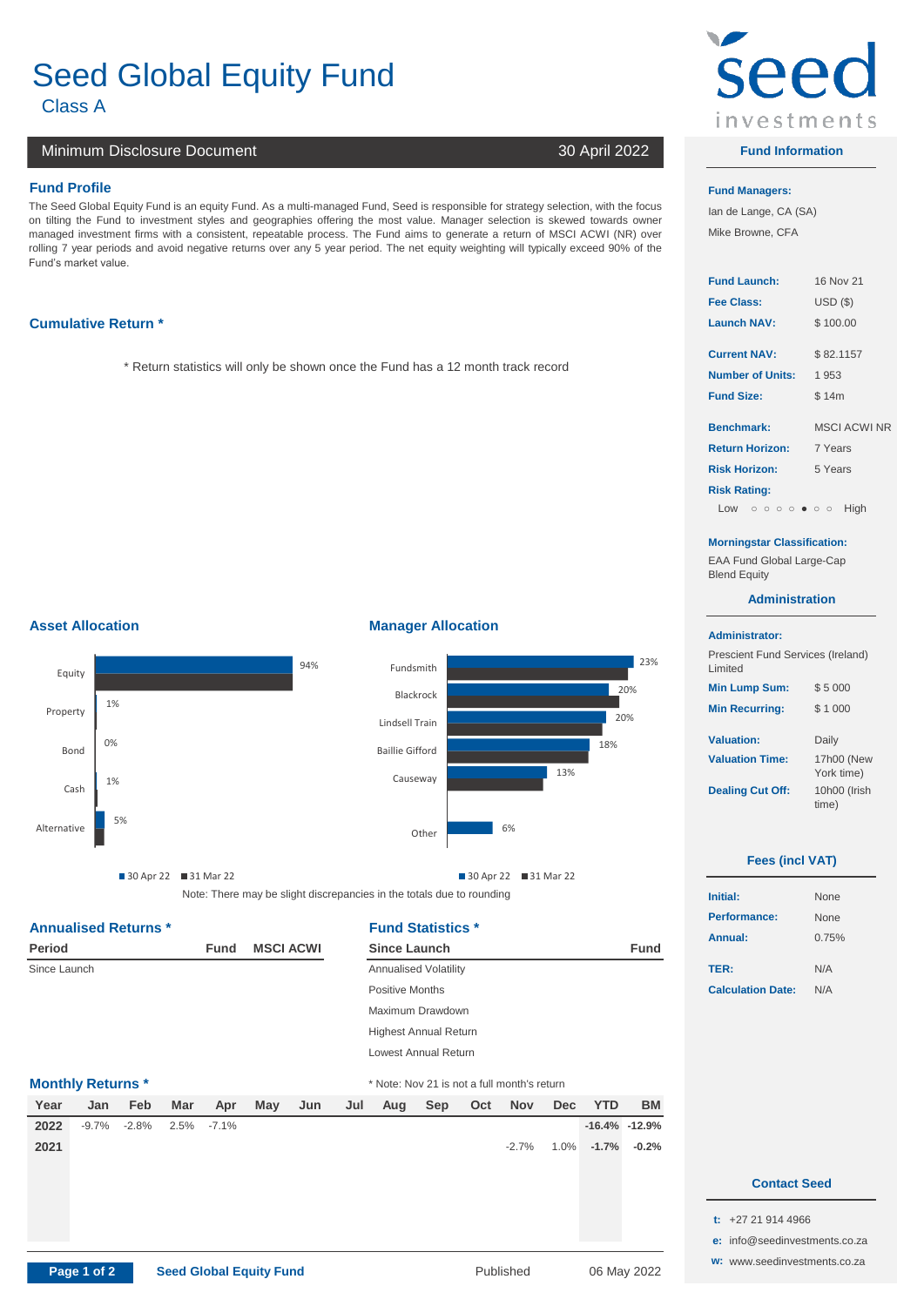# Seed Global Equity Fund

Class A **1**

# Minimum Disclosure Document 30 April 2022

# **Fund Profile Fund Managers:**

The Seed Global Equity Fund is an equity Fund. As a multi-managed Fund, Seed is responsible for strategy selection, with the focus on tilting the Fund to investment styles and geographies offering the most value. Manager selection is skewed towards owner managed investment firms with a consistent, repeatable process. The Fund aims to generate a return of MSCI ACWI (NR) over rolling 7 year periods and avoid negative returns over any 5 year period. The net equity weighting will typically exceed 90% of the Fund's market value.

# **Cumulative Return \***

\* Return statistics will only be shown once the Fund has a 12 month track record

# **Asset Allocation Manager Allocation**





Note: There may be slight discrepancies in the totals due to rounding 30 Apr 22 31 Mar 22

# Annualised Returns \* **Fund Statistics \***

| Period       |                          |         |      | Fund     |     | <b>MSCI ACWI</b> |                              | <b>Since Launch</b>          |                                             |     |            |     |
|--------------|--------------------------|---------|------|----------|-----|------------------|------------------------------|------------------------------|---------------------------------------------|-----|------------|-----|
| Since Launch |                          |         |      |          |     |                  |                              | <b>Annualised Volatility</b> |                                             |     |            |     |
|              |                          |         |      |          |     |                  |                              | <b>Positive Months</b>       |                                             |     |            |     |
|              |                          |         |      |          |     |                  |                              | Maximum Drawdown             |                                             |     |            |     |
|              |                          |         |      |          |     |                  | <b>Highest Annual Return</b> |                              |                                             |     |            |     |
|              |                          |         |      |          |     |                  |                              | Lowest Annual Return         |                                             |     |            |     |
|              | <b>Monthly Returns *</b> |         |      |          |     |                  |                              |                              | * Note: Nov 21 is not a full month's return |     |            |     |
| Year         | Jan                      | Feb     | Mar  | Apr      | May | Jun              | Jul                          | Aug                          | Sep                                         | Oct | <b>Nov</b> | Dec |
| 2022         | $-9.7\%$                 | $-2.8%$ | 2.5% | $-7.1\%$ |     |                  |                              |                              |                                             |     |            |     |

| <b>Since Launch</b>                         | <b>Fund</b> |                          |     |
|---------------------------------------------|-------------|--------------------------|-----|
| <b>Annualised Volatility</b>                |             | TER:                     | N/A |
| Positive Months                             |             | <b>Calculation Date:</b> | N/A |
| Maximum Drawdown                            |             |                          |     |
| <b>Highest Annual Return</b>                |             |                          |     |
| Lowest Annual Return                        |             |                          |     |
| * Note: Nov 21 is not a full month's return |             |                          |     |

| Year | Jan 1 | Feb <sup>1</sup>                   | Mar | Apr May Jun Jul Aug Sep Oct Nov Dec YTD |  |  |  |          |                     | <b>BM</b> |
|------|-------|------------------------------------|-----|-----------------------------------------|--|--|--|----------|---------------------|-----------|
|      |       | <b>2022</b> -9.7% -2.8% 2.5% -7.1% |     |                                         |  |  |  |          | $-16.4\% -12.9\%$   |           |
| 2021 |       |                                    |     |                                         |  |  |  | $-2.7\%$ | $1.0\%$ -1.7% -0.2% |           |



# **Fund Information**

Ian de Lange, CA (SA) Mike Browne, CFA

| <b>Fund Launch:</b>     | 16 Nov 21           |
|-------------------------|---------------------|
| Fee Class:              | <b>USD (\$)</b>     |
| <b>Launch NAV:</b>      | \$100.00            |
| <b>Current NAV:</b>     | \$82.1157           |
| <b>Number of Units:</b> | 1 953               |
| <b>Fund Size:</b>       | \$14m               |
| <b>Benchmark:</b>       | <b>MSCI ACWI NR</b> |
| <b>Return Horizon:</b>  | 7 Years             |
| <b>Risk Horizon:</b>    | 5 Years             |
|                         |                     |

## Low ooooooo High

### **Morningstar Classification:**

EAA Fund Global Large-Cap **Blend Equity** 

## **Administration**

## **Administrator:**

**Risk Rating:**

 $\overline{\phantom{a}}$ 

| Prescient Fund Services (Ireland)<br>Limited |                          |
|----------------------------------------------|--------------------------|
| <b>Min Lump Sum:</b>                         | \$5000                   |
| <b>Min Recurring:</b>                        | \$1000                   |
| <b>Valuation:</b>                            | Daily                    |
| <b>Valuation Time:</b>                       | 17h00 (New<br>York time) |
| <b>Dealing Cut Off:</b>                      | 10h00 (Irish<br>time)    |

# **Fees (incl VAT)**

| <b>Initial:</b>          | <b>None</b> |
|--------------------------|-------------|
| Performance:             | <b>None</b> |
| Annual:                  | 0.75%       |
| TER:                     | N/A         |
| <b>Calculation Date:</b> | N/A         |

# 0.0% 0.0% 0.0% 0.0% **0.0% 0.0% Contact Seed** 0.0% 0.0% 0.0% 0.0% 0.0% 0.0% 0.0% 0.0%

- **t:** +27 21 914 4966
- **e:** [info@](mailto:info@seedinvestments.co.za)seedinvestments.co.za
- **w:** [www](http://www.seedinvestments.co.za/).seedinvestments.co.za